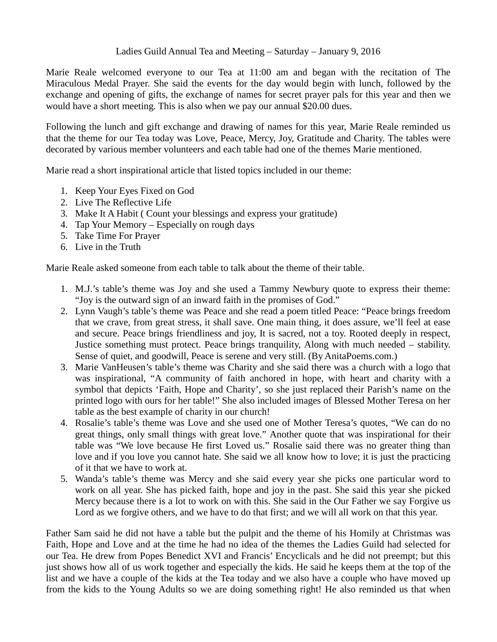Ladies Guild Annual Tea and Meeting – Saturday – January 9, 2016

Marie Reale welcomed everyone to our Tea at 11:00 am and began with the recitation of The Miraculous Medal Prayer. She said the events for the day would begin with lunch, followed by the exchange and opening of gifts, the exchange of names for secret prayer pals for this year and then we would have a short meeting. This is also when we pay our annual \$20.00 dues.

Following the lunch and gift exchange and drawing of names for this year, Marie Reale reminded us that the theme for our Tea today was Love, Peace, Mercy, Joy, Gratitude and Charity. The tables were decorated by various member volunteers and each table had one of the themes Marie mentioned.

Marie read a short inspirational article that listed topics included in our theme:

- 1. Keep Your Eyes Fixed on God
- 2. Live The Reflective Life
- 3. Make It A Habit ( Count your blessings and express your gratitude)
- 4. Tap Your Memory Especially on rough days
- 5. Take Time For Prayer
- 6. Live in the Truth

Marie Reale asked someone from each table to talk about the theme of their table.

- 1. M.J.'s table's theme was Joy and she used a Tammy Newbury quote to express their theme: "Joy is the outward sign of an inward faith in the promises of God."
- 2. Lynn Vaugh's table's theme was Peace and she read a poem titled Peace: "Peace brings freedom that we crave, from great stress, it shall save. One main thing, it does assure, we'll feel at ease and secure. Peace brings friendliness and joy, It is sacred, not a toy. Rooted deeply in respect, Justice something must protect. Peace brings tranquility, Along with much needed – stability. Sense of quiet, and goodwill, Peace is serene and very still. (By AnitaPoems.com.)
- 3. Marie VanHeusen's table's theme was Charity and she said there was a church with a logo that was inspirational, "A community of faith anchored in hope, with heart and charity with a symbol that depicts 'Faith, Hope and Charity', so she just replaced their Parish's name on the printed logo with ours for her table!" She also included images of Blessed Mother Teresa on her table as the best example of charity in our church!
- 4. Rosalie's table's theme was Love and she used one of Mother Teresa's quotes, "We can do no great things, only small things with great love." Another quote that was inspirational for their table was "We love because He first Loved us." Rosalie said there was no greater thing than love and if you love you cannot hate. She said we all know how to love; it is just the practicing of it that we have to work at.
- 5. Wanda's table's theme was Mercy and she said every year she picks one particular word to work on all year. She has picked faith, hope and joy in the past. She said this year she picked Mercy because there is a lot to work on with this. She said in the Our Father we say Forgive us Lord as we forgive others, and we have to do that first; and we will all work on that this year.

Father Sam said he did not have a table but the pulpit and the theme of his Homily at Christmas was Faith, Hope and Love and at the time he had no idea of the themes the Ladies Guild had selected for our Tea. He drew from Popes Benedict XVI and Francis' Encyclicals and he did not preempt; but this just shows how all of us work together and especially the kids. He said he keeps them at the top of the list and we have a couple of the kids at the Tea today and we also have a couple who have moved up from the kids to the Young Adults so we are doing something right! He also reminded us that when